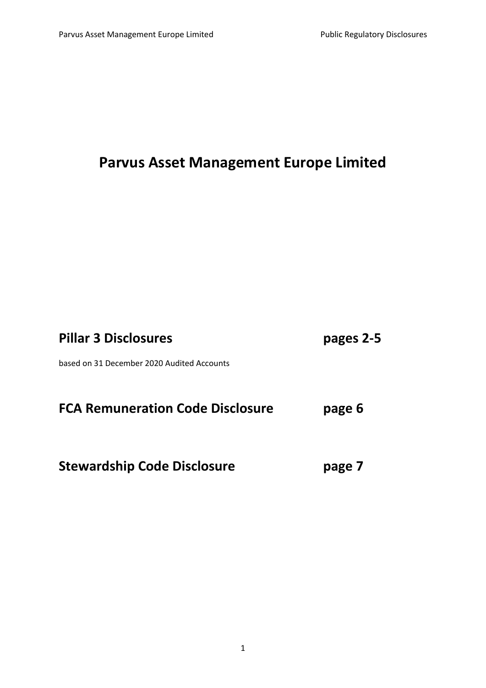# **Parvus Asset Management Europe Limited**

| <b>Pillar 3 Disclosures</b>                | pages 2-5 |
|--------------------------------------------|-----------|
| based on 31 December 2020 Audited Accounts |           |
| <b>FCA Remuneration Code Disclosure</b>    | page 6    |
| <b>Stewardship Code Disclosure</b>         | page 7    |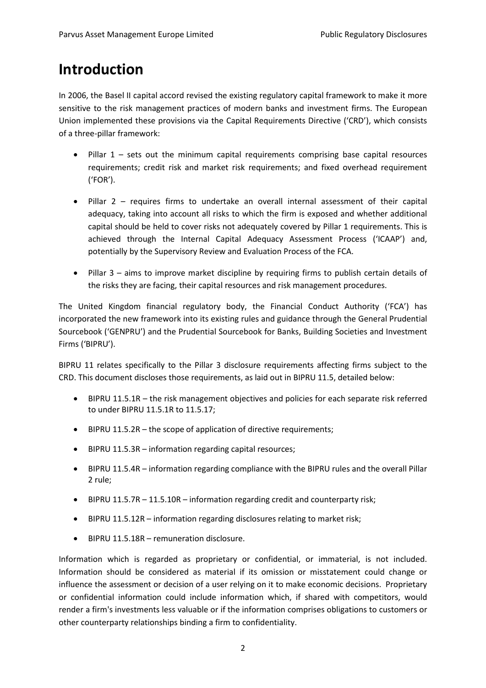## **Introduction**

In 2006, the Basel II capital accord revised the existing regulatory capital framework to make it more sensitive to the risk management practices of modern banks and investment firms. The European Union implemented these provisions via the Capital Requirements Directive ('CRD'), which consists of a three-pillar framework:

- Pillar 1 sets out the minimum capital requirements comprising base capital resources requirements; credit risk and market risk requirements; and fixed overhead requirement ('FOR').
- Pillar 2 requires firms to undertake an overall internal assessment of their capital adequacy, taking into account all risks to which the firm is exposed and whether additional capital should be held to cover risks not adequately covered by Pillar 1 requirements. This is achieved through the Internal Capital Adequacy Assessment Process ('ICAAP') and, potentially by the Supervisory Review and Evaluation Process of the FCA.
- Pillar 3 aims to improve market discipline by requiring firms to publish certain details of the risks they are facing, their capital resources and risk management procedures.

The United Kingdom financial regulatory body, the Financial Conduct Authority ('FCA') has incorporated the new framework into its existing rules and guidance through the General Prudential Sourcebook ('GENPRU') and the Prudential Sourcebook for Banks, Building Societies and Investment Firms ('BIPRU').

BIPRU 11 relates specifically to the Pillar 3 disclosure requirements affecting firms subject to the CRD. This document discloses those requirements, as laid out in BIPRU 11.5, detailed below:

- BIPRU 11.5.1R the risk management objectives and policies for each separate risk referred to under BIPRU 11.5.1R to 11.5.17;
- BIPRU 11.5.2R the scope of application of directive requirements;
- BIPRU 11.5.3R information regarding capital resources;
- BIPRU 11.5.4R information regarding compliance with the BIPRU rules and the overall Pillar 2 rule;
- BIPRU 11.5.7R 11.5.10R information regarding credit and counterparty risk;
- BIPRU 11.5.12R information regarding disclosures relating to market risk;
- BIPRU 11.5.18R remuneration disclosure.

Information which is regarded as proprietary or confidential, or immaterial, is not included. Information should be considered as material if its omission or misstatement could change or influence the assessment or decision of a user relying on it to make economic decisions. Proprietary or confidential information could include information which, if shared with competitors, would render a firm's investments less valuable or if the information comprises obligations to customers or other counterparty relationships binding a firm to confidentiality.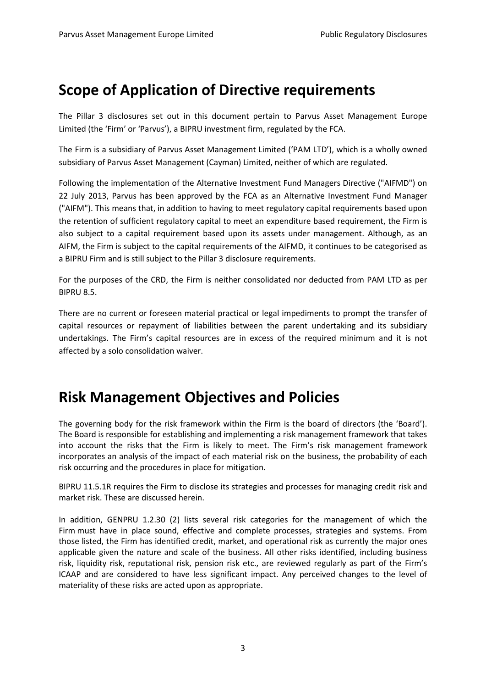## **Scope of Application of Directive requirements**

The Pillar 3 disclosures set out in this document pertain to Parvus Asset Management Europe Limited (the 'Firm' or 'Parvus'), a BIPRU investment firm, regulated by the FCA.

The Firm is a subsidiary of Parvus Asset Management Limited ('PAM LTD'), which is a wholly owned subsidiary of Parvus Asset Management (Cayman) Limited, neither of which are regulated.

Following the implementation of the Alternative Investment Fund Managers Directive ("AIFMD") on 22 July 2013, Parvus has been approved by the FCA as an Alternative Investment Fund Manager ("AIFM"). This means that, in addition to having to meet regulatory capital requirements based upon the retention of sufficient regulatory capital to meet an expenditure based requirement, the Firm is also subject to a capital requirement based upon its assets under management. Although, as an AIFM, the Firm is subject to the capital requirements of the AIFMD, it continues to be categorised as a BIPRU Firm and is still subject to the Pillar 3 disclosure requirements.

For the purposes of the CRD, the Firm is neither consolidated nor deducted from PAM LTD as per BIPRU 8.5.

There are no current or foreseen material practical or legal impediments to prompt the transfer of capital resources or repayment of liabilities between the parent undertaking and its subsidiary undertakings. The Firm's capital resources are in excess of the required minimum and it is not affected by a solo consolidation waiver.

## **Risk Management Objectives and Policies**

The governing body for the risk framework within the Firm is the board of directors (the 'Board'). The Board is responsible for establishing and implementing a risk management framework that takes into account the risks that the Firm is likely to meet. The Firm's risk management framework incorporates an analysis of the impact of each material risk on the business, the probability of each risk occurring and the procedures in place for mitigation.

BIPRU 11.5.1R requires the Firm to disclose its strategies and processes for managing credit risk and market risk. These are discussed herein.

In addition, GENPRU 1.2.30 (2) lists several risk categories for the management of which the Firm must have in place sound, effective and complete processes, strategies and systems. From those listed, the Firm has identified credit, market, and operational risk as currently the major ones applicable given the nature and scale of the business. All other risks identified, including business risk, liquidity risk, reputational risk, pension risk etc., are reviewed regularly as part of the Firm's ICAAP and are considered to have less significant impact. Any perceived changes to the level of materiality of these risks are acted upon as appropriate.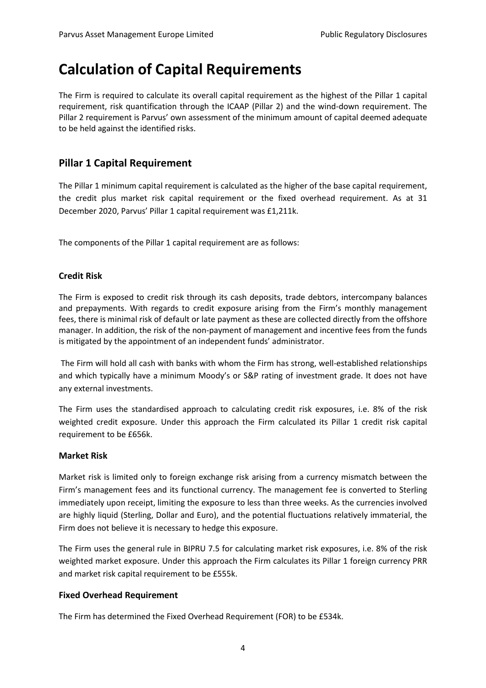## **Calculation of Capital Requirements**

The Firm is required to calculate its overall capital requirement as the highest of the Pillar 1 capital requirement, risk quantification through the ICAAP (Pillar 2) and the wind-down requirement. The Pillar 2 requirement is Parvus' own assessment of the minimum amount of capital deemed adequate to be held against the identified risks.

### **Pillar 1 Capital Requirement**

The Pillar 1 minimum capital requirement is calculated as the higher of the base capital requirement, the credit plus market risk capital requirement or the fixed overhead requirement. As at 31 December 2020, Parvus' Pillar 1 capital requirement was £1,211k.

The components of the Pillar 1 capital requirement are as follows:

#### **Credit Risk**

The Firm is exposed to credit risk through its cash deposits, trade debtors, intercompany balances and prepayments. With regards to credit exposure arising from the Firm's monthly management fees, there is minimal risk of default or late payment as these are collected directly from the offshore manager. In addition, the risk of the non-payment of management and incentive fees from the funds is mitigated by the appointment of an independent funds' administrator.

The Firm will hold all cash with banks with whom the Firm has strong, well-established relationships and which typically have a minimum Moody's or S&P rating of investment grade. It does not have any external investments.

The Firm uses the standardised approach to calculating credit risk exposures, i.e. 8% of the risk weighted credit exposure. Under this approach the Firm calculated its Pillar 1 credit risk capital requirement to be £656k.

#### **Market Risk**

Market risk is limited only to foreign exchange risk arising from a currency mismatch between the Firm's management fees and its functional currency. The management fee is converted to Sterling immediately upon receipt, limiting the exposure to less than three weeks. As the currencies involved are highly liquid (Sterling, Dollar and Euro), and the potential fluctuations relatively immaterial, the Firm does not believe it is necessary to hedge this exposure.

The Firm uses the general rule in BIPRU 7.5 for calculating market risk exposures, i.e. 8% of the risk weighted market exposure. Under this approach the Firm calculates its Pillar 1 foreign currency PRR and market risk capital requirement to be £555k.

### **Fixed Overhead Requirement**

The Firm has determined the Fixed Overhead Requirement (FOR) to be £534k.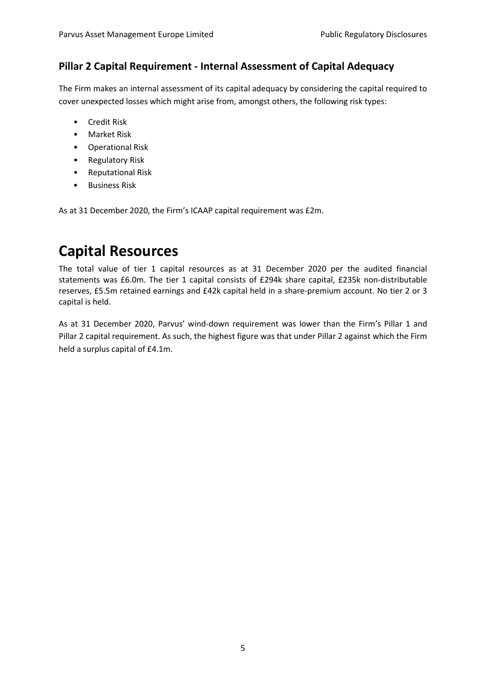### **Pillar 2 Capital Requirement - Internal Assessment of Capital Adequacy**

The Firm makes an internal assessment of its capital adequacy by considering the capital required to cover unexpected losses which might arise from, amongst others, the following risk types:

- Credit Risk
- Market Risk
- Operational Risk
- Regulatory Risk
- Reputational Risk
- Business Risk

As at 31 December 2020, the Firm's ICAAP capital requirement was £2m.

## **Capital Resources**

The total value of tier 1 capital resources as at 31 December 2020 per the audited financial statements was £6.0m. The tier 1 capital consists of £294k share capital, £235k non-distributable reserves, £5.5m retained earnings and £42k capital held in a share-premium account. No tier 2 or 3 capital is held.

As at 31 December 2020, Parvus' wind-down requirement was lower than the Firm's Pillar 1 and Pillar 2 capital requirement. As such, the highest figure was that under Pillar 2 against which the Firm held a surplus capital of £4.1m.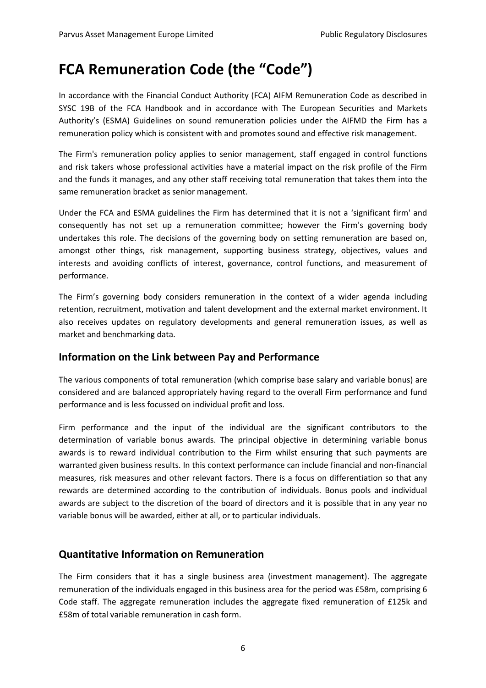## **FCA Remuneration Code (the "Code")**

In accordance with the Financial Conduct Authority (FCA) AIFM Remuneration Code as described in SYSC 19B of the FCA Handbook and in accordance with The European Securities and Markets Authority's (ESMA) Guidelines on sound remuneration policies under the AIFMD the Firm has a remuneration policy which is consistent with and promotes sound and effective risk management.

The Firm's remuneration policy applies to senior management, staff engaged in control functions and risk takers whose professional activities have a material impact on the risk profile of the Firm and the funds it manages, and any other staff receiving total remuneration that takes them into the same remuneration bracket as senior management.

Under the FCA and ESMA guidelines the Firm has determined that it is not a 'significant firm' and consequently has not set up a remuneration committee; however the Firm's governing body undertakes this role. The decisions of the governing body on setting remuneration are based on, amongst other things, risk management, supporting business strategy, objectives, values and interests and avoiding conflicts of interest, governance, control functions, and measurement of performance.

The Firm's governing body considers remuneration in the context of a wider agenda including retention, recruitment, motivation and talent development and the external market environment. It also receives updates on regulatory developments and general remuneration issues, as well as market and benchmarking data.

### **Information on the Link between Pay and Performance**

The various components of total remuneration (which comprise base salary and variable bonus) are considered and are balanced appropriately having regard to the overall Firm performance and fund performance and is less focussed on individual profit and loss.

Firm performance and the input of the individual are the significant contributors to the determination of variable bonus awards. The principal objective in determining variable bonus awards is to reward individual contribution to the Firm whilst ensuring that such payments are warranted given business results. In this context performance can include financial and non-financial measures, risk measures and other relevant factors. There is a focus on differentiation so that any rewards are determined according to the contribution of individuals. Bonus pools and individual awards are subject to the discretion of the board of directors and it is possible that in any year no variable bonus will be awarded, either at all, or to particular individuals.

### **Quantitative Information on Remuneration**

The Firm considers that it has a single business area (investment management). The aggregate remuneration of the individuals engaged in this business area for the period was £58m, comprising 6 Code staff. The aggregate remuneration includes the aggregate fixed remuneration of £125k and £58m of total variable remuneration in cash form.